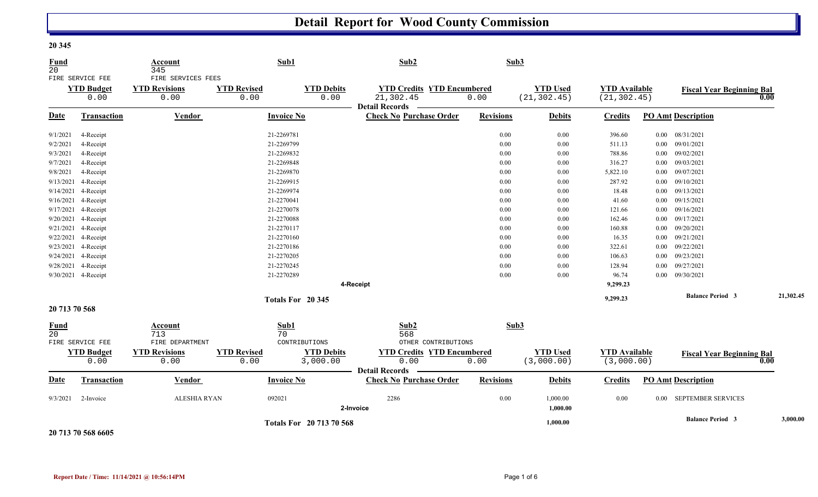## **Detail Report for Wood County Commission**

| <b>Fund</b><br>20  |                                               | Account<br>345                                     |                            | Sub1                          | Sub2                                                                   | Sub3             |                                 |                                      |          |                                  |           |
|--------------------|-----------------------------------------------|----------------------------------------------------|----------------------------|-------------------------------|------------------------------------------------------------------------|------------------|---------------------------------|--------------------------------------|----------|----------------------------------|-----------|
|                    | FIRE SERVICE FEE<br><b>YTD Budget</b><br>0.00 | FIRE SERVICES FEES<br><b>YTD Revisions</b><br>0.00 | <b>YTD Revised</b><br>0.00 | <b>YTD Debits</b><br>0.00     | <b>YTD Credits YTD Encumbered</b><br>21,302.45<br>Detail Records _____ | 0.00             | <b>YTD Used</b><br>(21, 302.45) | <b>YTD</b> Available<br>(21, 302.45) |          | <b>Fiscal Year Beginning Bal</b> | 0.00      |
| Date               | Transaction                                   | Vendor                                             |                            | <b>Invoice No</b>             | <b>Check No Purchase Order</b>                                         | <b>Revisions</b> | <b>Debits</b>                   | <b>Credits</b>                       |          | <b>PO Amt Description</b>        |           |
| 9/1/2021           | 4-Receipt                                     |                                                    |                            | 21-2269781                    |                                                                        | 0.00             | $0.00\,$                        | 396.60                               |          | $0.00$ $08/31/2021$              |           |
| 9/2/2021           | 4-Receipt                                     |                                                    |                            | 21-2269799                    |                                                                        | 0.00             | 0.00                            | 511.13                               |          | $0.00$ 09/01/2021                |           |
| 9/3/2021           | 4-Receipt                                     |                                                    |                            | 21-2269832                    |                                                                        | $0.00\,$         | $0.00\,$                        | 788.86                               |          | $0.00$ 09/02/2021                |           |
| 9/7/2021           | 4-Receipt                                     |                                                    |                            | 21-2269848                    |                                                                        | 0.00             | 0.00                            | 316.27                               |          | $0.00$ 09/03/2021                |           |
| 9/8/2021           | 4-Receipt                                     |                                                    |                            | 21-2269870                    |                                                                        | 0.00             | 0.00                            | 5,822.10                             |          | $0.00$ 09/07/2021                |           |
|                    | 9/13/2021 4-Receipt                           |                                                    |                            | 21-2269915                    |                                                                        | $0.00\,$         | 0.00                            | 287.92                               |          | $0.00$ 09/10/2021                |           |
|                    | 9/14/2021 4-Receipt                           |                                                    |                            | 21-2269974                    |                                                                        | 0.00             | 0.00                            | 18.48                                |          | $0.00$ $09/13/2021$              |           |
|                    | 9/16/2021 4-Receipt                           |                                                    |                            | 21-2270041                    |                                                                        | $0.00\,$         | 0.00                            | 41.60                                |          | $0.00$ $09/15/2021$              |           |
|                    | 9/17/2021 4-Receipt                           |                                                    |                            | 21-2270078                    |                                                                        | $0.00\,$         | $0.00\,$                        | 121.66                               |          | $0.00$ 09/16/2021                |           |
|                    | 9/20/2021 4-Receipt                           |                                                    |                            | 21-2270088                    |                                                                        | $0.00\,$         | 0.00                            | 162.46                               | $0.00\,$ | 09/17/2021                       |           |
|                    | 9/21/2021 4-Receipt                           |                                                    |                            | 21-2270117                    |                                                                        | 0.00             | 0.00                            | 160.88                               |          | $0.00$ $09/20/2021$              |           |
|                    | 9/22/2021 4-Receipt                           |                                                    |                            | 21-2270160                    |                                                                        | 0.00             | 0.00                            | 16.35                                |          | $0.00$ $09/21/2021$              |           |
|                    | 9/23/2021 4-Receipt                           |                                                    |                            | 21-2270186                    |                                                                        | 0.00             | 0.00                            | 322.61                               |          | $0.00$ $09/22/2021$              |           |
|                    | 9/24/2021 4-Receipt                           |                                                    |                            | 21-2270205                    |                                                                        | 0.00             | 0.00                            | 106.63                               |          | $0.00$ $09/23/2021$              |           |
|                    | 9/28/2021 4-Receipt                           |                                                    |                            | 21-2270245                    |                                                                        | 0.00             | 0.00                            | 128.94                               | $0.00\,$ | 09/27/2021                       |           |
|                    | 9/30/2021 4-Receipt                           |                                                    |                            | 21-2270289                    |                                                                        | 0.00             | 0.00                            | 96.74                                |          | $0.00$ 09/30/2021                |           |
|                    |                                               |                                                    |                            |                               | 4-Receipt                                                              |                  |                                 | 9,299.23                             |          |                                  |           |
|                    |                                               |                                                    |                            | Totals For 20 345             |                                                                        |                  |                                 | 9,299.23                             |          | <b>Balance Period 3</b>          | 21,302.45 |
| 20 713 70 568      |                                               |                                                    |                            |                               |                                                                        |                  |                                 |                                      |          |                                  |           |
| <b>Fund</b><br>2.0 |                                               | Account<br>713                                     |                            | Sub1<br>70                    | Sub2<br>568                                                            | Sub3             |                                 |                                      |          |                                  |           |
|                    | FIRE SERVICE FEE                              | FIRE DEPARTMENT                                    |                            | CONTRIBUTIONS                 | OTHER CONTRIBUTIONS                                                    |                  |                                 |                                      |          |                                  |           |
|                    | <b>YTD Budget</b><br>0.00                     | <b>YTD Revisions</b><br>0.00                       | <b>YTD Revised</b><br>0.00 | <b>YTD Debits</b><br>3,000.00 | <b>YTD Credits YTD Encumbered</b><br>0.00                              | 0.00             | <b>YTD Used</b><br>(3,000.00)   | <b>YTD</b> Available<br>(3,000.00)   |          | <b>Fiscal Year Beginning Bal</b> | 0.00      |
| <b>Date</b>        | Transaction                                   | Vendor                                             |                            | <b>Invoice No</b>             | Detail Records -<br><b>Check No Purchase Order</b>                     | <b>Revisions</b> | <b>Debits</b>                   | <b>Credits</b>                       |          | <b>PO Amt Description</b>        |           |
| 9/3/2021           | 2-Invoice                                     | <b>ALESHIA RYAN</b>                                |                            | 092021                        | 2286<br>2-Invoice                                                      | 0.00             | 1,000.00<br>1,000.00            | 0.00                                 | $0.00\,$ | SEPTEMBER SERVICES               |           |
|                    |                                               |                                                    |                            | Totals For 20 713 70 568      |                                                                        |                  | 1,000.00                        |                                      |          | <b>Balance Period 3</b>          | 3,000.00  |

**20 713 70 568 6605**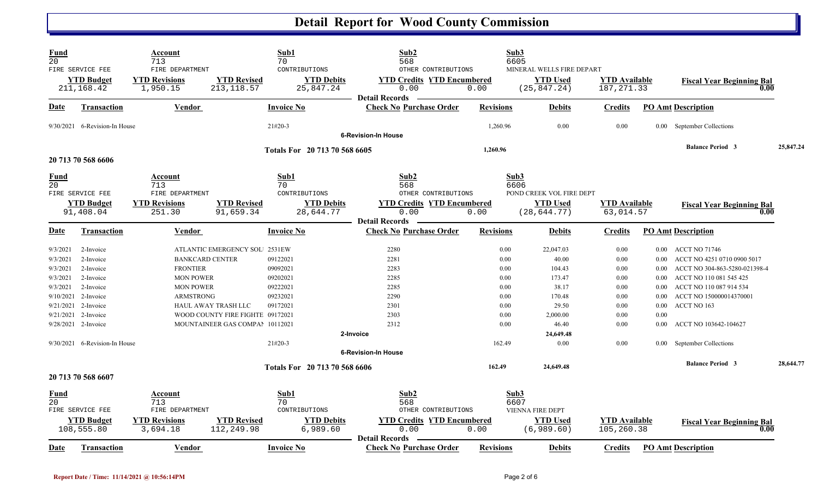## **Detail Report for Wood County Commission**

| <b>Fund</b><br>$\overline{20}$                                                     | FIRE SERVICE FEE                                                                                                                                                       | Account<br>713<br>FIRE DEPARTMENT                                                              |                                                                                                                                    | Sub1<br>70<br>CONTRIBUTIONS                                                       | Sub2<br>568<br>OTHER CONTRIBUTIONS                                                                              |                                                                                | Sub3<br>6605<br>MINERAL WELLS FIRE DEPART                                                                    |                                                                              |                                                                                              |                                                                                                                                                                                                                                 |           |
|------------------------------------------------------------------------------------|------------------------------------------------------------------------------------------------------------------------------------------------------------------------|------------------------------------------------------------------------------------------------|------------------------------------------------------------------------------------------------------------------------------------|-----------------------------------------------------------------------------------|-----------------------------------------------------------------------------------------------------------------|--------------------------------------------------------------------------------|--------------------------------------------------------------------------------------------------------------|------------------------------------------------------------------------------|----------------------------------------------------------------------------------------------|---------------------------------------------------------------------------------------------------------------------------------------------------------------------------------------------------------------------------------|-----------|
|                                                                                    | <b>YTD Budget</b><br>211,168.42                                                                                                                                        | <b>YTD Revisions</b><br>1,950.15                                                               | <b>YTD Revised</b><br>213, 118.57                                                                                                  | <b>YTD Debits</b><br>25,847.24                                                    | <b>YTD Credits YTD Encumbered</b><br>0.00<br><b>Detail Records</b>                                              | 0.00                                                                           | <b>YTD Used</b><br>(25, 847.24)                                                                              | <b>YTD</b> Available<br>187, 271.33                                          |                                                                                              | <b>Fiscal Year Beginning Bal</b><br>0.00                                                                                                                                                                                        |           |
| Date                                                                               | <b>Transaction</b>                                                                                                                                                     | <b>Vendor</b>                                                                                  |                                                                                                                                    | <b>Invoice No</b>                                                                 | <b>Check No Purchase Order</b>                                                                                  | <b>Revisions</b>                                                               | <b>Debits</b>                                                                                                | <b>Credits</b>                                                               |                                                                                              | <b>PO Amt Description</b>                                                                                                                                                                                                       |           |
|                                                                                    | 9/30/2021 6-Revision-In House                                                                                                                                          |                                                                                                |                                                                                                                                    | $21#20-3$                                                                         | <b>6-Revision-In House</b>                                                                                      | 1,260.96                                                                       | 0.00                                                                                                         | 0.00                                                                         | 0.00                                                                                         | September Collections                                                                                                                                                                                                           |           |
|                                                                                    | 20 713 70 568 6606                                                                                                                                                     |                                                                                                |                                                                                                                                    | Totals For 20 713 70 568 6605                                                     |                                                                                                                 | 1,260.96                                                                       |                                                                                                              |                                                                              |                                                                                              | <b>Balance Period 3</b>                                                                                                                                                                                                         | 25,847.24 |
| <b>Fund</b><br>$\overline{20}$                                                     | FIRE SERVICE FEE<br><b>YTD Budget</b><br>91,408.04                                                                                                                     | Account<br>713<br>FIRE DEPARTMENT<br><b>YTD Revisions</b><br>251.30                            | <b>YTD Revised</b><br>91,659.34                                                                                                    | Sub1<br>70<br>CONTRIBUTIONS<br><b>YTD Debits</b><br>28,644.77                     | Sub2<br>568<br>OTHER CONTRIBUTIONS<br><b>YTD Credits YTD Encumbered</b><br>0.00<br><b>Detail Records</b>        | 0.00                                                                           | Sub3<br>6606<br>POND CREEK VOL FIRE DEPT<br><b>YTD Used</b><br>(28, 644.77)                                  | <b>YTD</b> Available<br>63,014.57                                            |                                                                                              | <b>Fiscal Year Beginning Bal</b><br>0.00                                                                                                                                                                                        |           |
| Date                                                                               | <b>Transaction</b>                                                                                                                                                     | Vendor                                                                                         |                                                                                                                                    | <b>Invoice No</b>                                                                 | <b>Check No Purchase Order</b>                                                                                  | <b>Revisions</b>                                                               | <b>Debits</b>                                                                                                | <b>Credits</b>                                                               |                                                                                              | <b>PO Amt Description</b>                                                                                                                                                                                                       |           |
| 9/3/2021<br>9/3/2021<br>9/3/2021<br>9/3/2021<br>9/3/2021<br>9/10/2021<br>9/21/2021 | 2-Invoice<br>2-Invoice<br>2-Invoice<br>2-Invoice<br>2-Invoice<br>2-Invoice<br>2-Invoice<br>9/21/2021 2-Invoice<br>9/28/2021 2-Invoice<br>9/30/2021 6-Revision-In House | <b>BANKCARD CENTER</b><br><b>FRONTIER</b><br><b>MON POWER</b><br><b>MON POWER</b><br>ARMSTRONG | ATLANTIC EMERGENCY SOL 2531EW<br><b>HAUL AWAY TRASH LLC</b><br>WOOD COUNTY FIRE FIGHTE 09172021<br>MOUNTAINEER GAS COMPAI 10112021 | 09122021<br>09092021<br>09202021<br>09222021<br>09232021<br>09172021<br>$21#20-3$ | 2280<br>2281<br>2283<br>2285<br>2285<br>2290<br>2301<br>2303<br>2312<br>2-Invoice<br><b>6-Revision-In House</b> | 0.00<br>0.00<br>0.00<br>0.00<br>0.00<br>0.00<br>0.00<br>0.00<br>0.00<br>162.49 | 22,047.03<br>40.00<br>104.43<br>173.47<br>38.17<br>170.48<br>29.50<br>2,000.00<br>46.40<br>24,649.48<br>0.00 | 0.00<br>0.00<br>0.00<br>0.00<br>0.00<br>0.00<br>0.00<br>0.00<br>0.00<br>0.00 | $0.00\,$<br>$0.00\,$<br>0.00<br>0.00<br>0.00<br>0.00<br>$0.00\,$<br>0.00<br>0.00<br>$0.00 -$ | ACCT NO 71746<br>ACCT NO 4251 0710 0900 5017<br>ACCT NO 304-863-5280-021398-4<br>ACCT NO 110 081 545 425<br>ACCT NO 110 087 914 534<br>ACCT NO 150000014370001<br>ACCT NO 163<br>ACCT NO 103642-104627<br>September Collections |           |
|                                                                                    | 20 713 70 568 6607                                                                                                                                                     |                                                                                                |                                                                                                                                    | Totals For 20 713 70 568 6606                                                     |                                                                                                                 | 162.49                                                                         | 24,649.48                                                                                                    |                                                                              |                                                                                              | <b>Balance Period 3</b>                                                                                                                                                                                                         | 28,644.77 |
| Fund<br>20                                                                         | FIRE SERVICE FEE<br><b>YTD Budget</b><br>108,555.80                                                                                                                    | Account<br>713<br>FIRE DEPARTMENT<br><b>YTD Revisions</b><br>3,694.18                          | <b>YTD Revised</b><br>112,249.98                                                                                                   | Sub1<br>70<br>CONTRIBUTIONS<br><b>YTD Debits</b><br>6,989.60                      | Sub2<br>568<br>OTHER CONTRIBUTIONS<br><b>YTD Credits YTD Encumbered</b><br>0.00<br><b>Detail Records</b>        | 0.00                                                                           | Sub3<br>6607<br><b>VIENNA FIRE DEPT</b><br><b>YTD Used</b><br>(6,989.60)                                     | <b>YTD</b> Available<br>105,260.38                                           |                                                                                              | <b>Fiscal Year Beginning Bal</b><br>0.00                                                                                                                                                                                        |           |
| Date                                                                               | Transaction                                                                                                                                                            | Vendor                                                                                         |                                                                                                                                    | <b>Invoice No</b>                                                                 | <b>Check No Purchase Order</b>                                                                                  | <b>Revisions</b>                                                               | <b>Debits</b>                                                                                                | Credits                                                                      |                                                                                              | <b>PO Amt Description</b>                                                                                                                                                                                                       |           |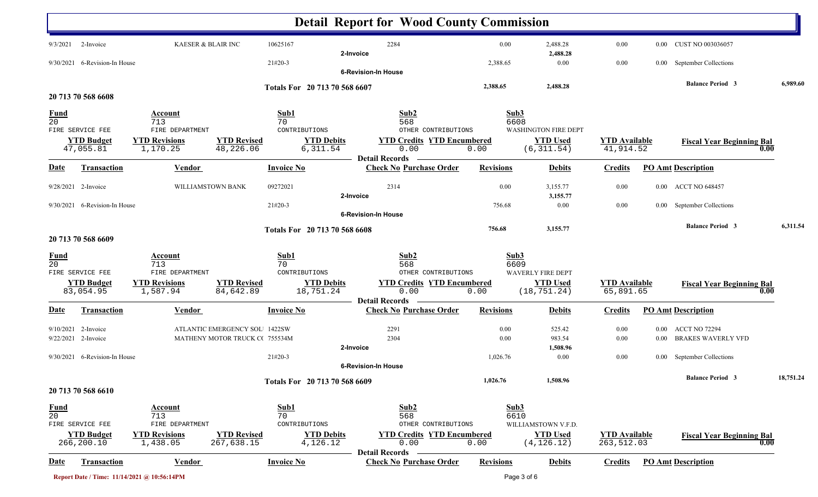|                                |                                 |                                             |                                  |                               |                               | <b>Detail Report for Wood County Commission</b>                    |                  |                                     |                                    |          |                                  |           |
|--------------------------------|---------------------------------|---------------------------------------------|----------------------------------|-------------------------------|-------------------------------|--------------------------------------------------------------------|------------------|-------------------------------------|------------------------------------|----------|----------------------------------|-----------|
|                                | $9/3/2021$ 2-Invoice            | KAESER & BLAIR INC                          |                                  | 10625167                      |                               | 2284                                                               | 0.00             | 2,488.28                            | 0.00                               |          | 0.00 CUST NO 003036057           |           |
| 9/30/2021                      | 6-Revision-In House             |                                             |                                  | 21#20-3                       | 2-Invoice                     |                                                                    | 2,388.65         | 2,488.28<br>0.00                    | 0.00                               | $0.00\,$ | September Collections            |           |
|                                |                                 |                                             |                                  |                               |                               | <b>6-Revision-In House</b>                                         |                  |                                     |                                    |          |                                  |           |
|                                |                                 |                                             |                                  | Totals For 20 713 70 568 6607 |                               |                                                                    | 2,388.65         | 2,488.28                            |                                    |          | <b>Balance Period 3</b>          | 6,989.60  |
|                                | 20 713 70 568 6608              |                                             |                                  |                               |                               |                                                                    |                  |                                     |                                    |          |                                  |           |
| $\frac{Fund}{20}$              |                                 | Account<br>713                              |                                  | Sub1<br>70                    |                               | Sub2<br>568                                                        |                  | Sub3<br>6608                        |                                    |          |                                  |           |
|                                | FIRE SERVICE FEE                | FIRE DEPARTMENT                             |                                  | CONTRIBUTIONS                 |                               | OTHER CONTRIBUTIONS                                                |                  | <b>WASHINGTON FIRE DEPT</b>         |                                    |          |                                  |           |
|                                | <b>YTD Budget</b><br>47,055.81  | <b>YTD Revisions</b><br>1,170.25            | <b>YTD Revised</b><br>48,226.06  |                               | <b>YTD Debits</b><br>6,311.54 | <b>YTD Credits YTD Encumbered</b><br>0.00<br><b>Detail Records</b> | 0.00             | <b>YTD Used</b><br>(6, 311.54)      | <b>YTD</b> Available<br>41,914.52  |          | <b>Fiscal Year Beginning Bal</b> | 0.00      |
| <u>Date</u>                    | <b>Transaction</b>              | <b>Vendor</b>                               |                                  | <b>Invoice No</b>             |                               | <b>Check No Purchase Order</b>                                     | <b>Revisions</b> | <b>Debits</b>                       | <b>Credits</b>                     |          | <b>PO Amt Description</b>        |           |
|                                | 9/28/2021 2-Invoice             | WILLIAMSTOWN BANK                           |                                  | 09272021                      | 2-Invoice                     | 2314                                                               | 0.00             | 3,155.77<br>3,155.77                | 0.00                               |          | 0.00 ACCT NO 648457              |           |
|                                | 9/30/2021 6-Revision-In House   |                                             |                                  | $21#20-3$                     |                               |                                                                    | 756.68           | 0.00                                | 0.00                               |          | 0.00 September Collections       |           |
|                                |                                 |                                             |                                  |                               |                               | <b>6-Revision-In House</b>                                         |                  |                                     |                                    |          |                                  |           |
|                                | 20 713 70 568 6609              |                                             |                                  | Totals For 20 713 70 568 6608 |                               |                                                                    | 756.68           | 3,155.77                            |                                    |          | <b>Balance Period 3</b>          | 6,311.54  |
| $\frac{Fund}{20}$              |                                 | <b>Account</b><br>713                       |                                  | Sub1<br>70                    |                               | Sub2<br>568                                                        |                  | Sub3<br>6609                        |                                    |          |                                  |           |
|                                | FIRE SERVICE FEE                | FIRE DEPARTMENT                             |                                  | CONTRIBUTIONS                 |                               | OTHER CONTRIBUTIONS                                                |                  | <b>WAVERLY FIRE DEPT</b>            |                                    |          |                                  |           |
|                                | <b>YTD Budget</b><br>83,054.95  | <b>YTD Revisions</b><br>1,587.94            | <b>YTD Revised</b><br>84,642.89  |                               | <b>YTD Debits</b>             | <b>YTD Credits YTD Encumbered</b><br>0.00                          | 0.00             | <b>YTD Used</b><br>(18, 751.24)     | <b>YTD</b> Available<br>65,891.65  |          | <b>Fiscal Year Beginning Bal</b> | 0.00      |
|                                |                                 |                                             |                                  | 18,751.24                     |                               | <b>Detail Records</b>                                              |                  |                                     |                                    |          |                                  |           |
| <u>Date</u>                    | Transaction                     | Vendor                                      |                                  | <b>Invoice No</b>             |                               | <b>Check No Purchase Order</b>                                     | <b>Revisions</b> | <b>Debits</b>                       | <b>Credits</b>                     |          | <b>PO Amt Description</b>        |           |
|                                | $9/10/2021$ 2-Invoice           |                                             | ATLANTIC EMERGENCY SOL 1422SW    |                               |                               | 2291                                                               | 0.00             | 525.42                              | 0.00                               |          | 0.00 ACCT NO 72294               |           |
|                                | 9/22/2021 2-Invoice             |                                             | MATHENY MOTOR TRUCK C(755534M    |                               |                               | 2304                                                               | 0.00             | 983.54                              | 0.00                               |          | 0.00 BRAKES WAVERLY VFD          |           |
|                                |                                 |                                             |                                  |                               | 2-Invoice                     |                                                                    |                  | 1,508.96                            |                                    |          |                                  |           |
|                                | 9/30/2021 6-Revision-In House   |                                             |                                  | 21#20-3                       |                               | <b>6-Revision-In House</b>                                         | 1,026.76         | 0.00                                | 0.00                               |          | 0.00 September Collections       |           |
|                                |                                 |                                             |                                  | Totals For 20 713 70 568 6609 |                               |                                                                    | 1,026.76         | 1,508.96                            |                                    |          | <b>Balance Period 3</b>          | 18,751.24 |
|                                | 20 713 70 568 6610              |                                             |                                  |                               |                               |                                                                    |                  |                                     |                                    |          |                                  |           |
| <b>Fund</b><br>$\overline{20}$ | FIRE SERVICE FEE                | <b>Account</b><br>713<br>FIRE DEPARTMENT    |                                  | Sub1<br>70<br>CONTRIBUTIONS   |                               | Sub2<br>568<br>OTHER CONTRIBUTIONS                                 |                  | Sub3<br>6610<br>WILLIAMSTOWN V.F.D. |                                    |          |                                  |           |
|                                | <b>YTD Budget</b><br>266,200.10 | <b>YTD Revisions</b><br>1,438.05            | <b>YTD Revised</b><br>267,638.15 |                               | <b>YTD Debits</b><br>4,126.12 | <b>YTD Credits YTD Encumbered</b><br>0.00                          | 0.00             | <b>YTD Used</b><br>(4, 126.12)      | <b>YTD Available</b><br>263,512.03 |          | <b>Fiscal Year Beginning Bal</b> | 0.00      |
| <u>Date</u>                    | <b>Transaction</b>              | <b>Vendor</b>                               |                                  | <b>Invoice No</b>             |                               | <b>Detail Records</b><br><b>Check No Purchase Order</b>            | <b>Revisions</b> | <b>Debits</b>                       | <b>Credits</b>                     |          | <b>PO Amt Description</b>        |           |
|                                |                                 | Report Date / Time: 11/14/2021 @ 10:56:14PM |                                  |                               |                               |                                                                    |                  | Page 3 of 6                         |                                    |          |                                  |           |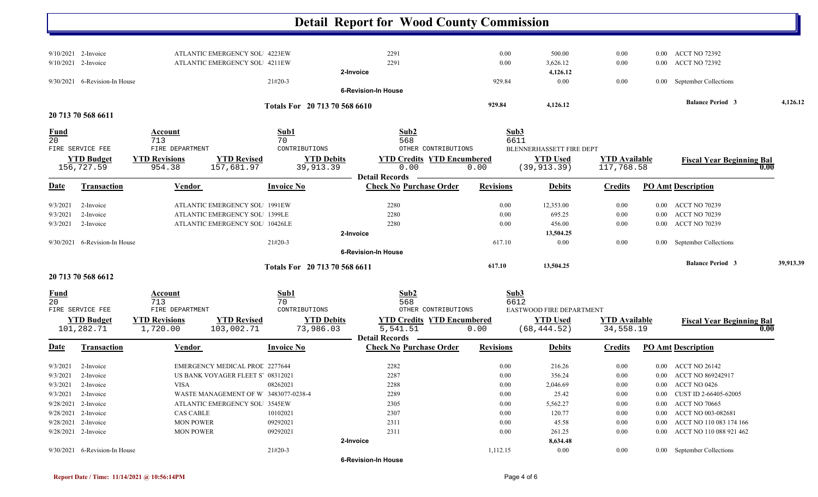|                   |                               |                                                                |                                      | <b>Detail Report for Wood County Commission</b> |                  |                          |                      |          |                                            |           |
|-------------------|-------------------------------|----------------------------------------------------------------|--------------------------------------|-------------------------------------------------|------------------|--------------------------|----------------------|----------|--------------------------------------------|-----------|
|                   |                               |                                                                |                                      |                                                 |                  |                          |                      |          |                                            |           |
|                   | $9/10/2021$ 2-Invoice         | ATLANTIC EMERGENCY SOL 4223EW                                  |                                      | 2291                                            | 0.00             | 500.00                   | 0.00                 | $0.00\,$ | <b>ACCT NO 72392</b>                       |           |
|                   | 9/10/2021 2-Invoice           | ATLANTIC EMERGENCY SOL 4211EW                                  |                                      | 2291                                            | 0.00             | 3,626.12                 | 0.00                 | $0.00\,$ | <b>ACCT NO 72392</b>                       |           |
|                   |                               |                                                                |                                      | 2-Invoice                                       |                  | 4,126.12                 |                      |          |                                            |           |
|                   | 9/30/2021 6-Revision-In House |                                                                | $21#20-3$                            | <b>6-Revision-In House</b>                      | 929.84           | 0.00                     | 0.00                 |          | 0.00 September Collections                 |           |
|                   |                               |                                                                |                                      |                                                 |                  |                          |                      |          | <b>Balance Period 3</b>                    | 4,126.12  |
|                   | 20 713 70 568 6611            |                                                                | Totals For 20 713 70 568 6610        |                                                 | 929.84           | 4,126.12                 |                      |          |                                            |           |
|                   |                               |                                                                |                                      |                                                 |                  |                          |                      |          |                                            |           |
| $\frac{Fund}{20}$ |                               | Account                                                        | Sub1                                 | Sub2                                            | Sub3             |                          |                      |          |                                            |           |
|                   | FIRE SERVICE FEE              | 713<br>FIRE DEPARTMENT                                         | 70<br>CONTRIBUTIONS                  | 568<br>OTHER CONTRIBUTIONS                      | 6611             | BLENNERHASSETT FIRE DEPT |                      |          |                                            |           |
|                   | <b>YTD Budget</b>             | <b>YTD Revised</b><br><b>YTD Revisions</b>                     | <b>YTD Debits</b>                    | <b>YTD Credits YTD Encumbered</b>               |                  | <b>YTD Used</b>          | <b>YTD Available</b> |          |                                            |           |
|                   | 156,727.59                    | 157,681.97<br>954.38                                           | 39,913.39                            | 0.00                                            | 0.00             | (39, 913.39)             | 117,768.58           |          | <b>Fiscal Year Beginning Bal</b>           | 0.00      |
|                   |                               |                                                                |                                      | <b>Detail Records</b>                           |                  |                          |                      |          |                                            |           |
| <b>Date</b>       | <b>Transaction</b>            | Vendor                                                         | <b>Invoice No</b>                    | <b>Check No Purchase Order</b>                  | <b>Revisions</b> | <b>Debits</b>            | <b>Credits</b>       |          | <b>PO Amt Description</b>                  |           |
|                   |                               |                                                                |                                      |                                                 |                  |                          |                      |          |                                            |           |
| 9/3/2021          | 2-Invoice                     | ATLANTIC EMERGENCY SOL 1991EW<br>ATLANTIC EMERGENCY SOL 1399LE |                                      | 2280<br>2280                                    | 0.00<br>0.00     | 12,353.00<br>695.25      | $0.00\,$<br>0.00     |          | 0.00 ACCT NO 70239<br><b>ACCT NO 70239</b> |           |
| 9/3/2021          | 2-Invoice                     |                                                                |                                      |                                                 |                  |                          |                      | $0.00\,$ |                                            |           |
| 9/3/2021          | 2-Invoice                     | ATLANTIC EMERGENCY SOL 10426LE                                 |                                      | 2280                                            | 0.00             | 456.00                   | 0.00                 | $0.00\,$ | <b>ACCT NO 70239</b>                       |           |
|                   | 9/30/2021 6-Revision-In House |                                                                | $21#20-3$                            | 2-Invoice                                       | 617.10           | 13,504.25<br>$0.00\,$    | 0.00                 |          | 0.00 September Collections                 |           |
|                   |                               |                                                                |                                      | <b>6-Revision-In House</b>                      |                  |                          |                      |          |                                            |           |
|                   |                               |                                                                |                                      |                                                 |                  |                          |                      |          | <b>Balance Period 3</b>                    | 39,913.39 |
|                   | 20 713 70 568 6612            |                                                                | Totals For 20 713 70 568 6611        |                                                 | 617.10           | 13,504.25                |                      |          |                                            |           |
| <u>Fund</u>       |                               | <b>Account</b>                                                 | Sub1                                 | Sub2                                            | Sub3             |                          |                      |          |                                            |           |
| 20                |                               | 713                                                            | 70                                   | 568                                             | 6612             |                          |                      |          |                                            |           |
|                   | FIRE SERVICE FEE              | FIRE DEPARTMENT                                                | CONTRIBUTIONS                        | OTHER CONTRIBUTIONS                             |                  | EASTWOOD FIRE DEPARTMENT |                      |          |                                            |           |
|                   | <b>YTD Budget</b>             | <b>YTD Revisions</b><br><b>YTD Revised</b>                     | <b>YTD Debits</b>                    | <b>YTD Credits YTD Encumbered</b>               |                  | <b>YTD Used</b>          | <b>YTD</b> Available |          | <b>Fiscal Year Beginning Bal</b>           |           |
|                   | 101,282.71                    | 1,720.00<br>103,002.71                                         | 73,986.03                            | 5,541.51                                        | 0.00             | (68, 444.52)             | 34,558.19            |          |                                            | 0.00      |
|                   |                               |                                                                |                                      | <b>Detail Records</b>                           |                  |                          |                      |          |                                            |           |
| <b>Date</b>       | Transaction                   | Vendor                                                         | <b>Invoice No</b>                    | <b>Check No Purchase Order</b>                  | <b>Revisions</b> | <b>Debits</b>            | <b>Credits</b>       |          | <b>PO Amt Description</b>                  |           |
| 9/3/2021          | 2-Invoice                     | EMERGENCY MEDICAL PROL 2277644                                 |                                      | 2282                                            | 0.00             | 216.26                   | 0.00                 |          | 0.00 ACCT NO 26142                         |           |
| 9/3/2021          | 2-Invoice                     | US BANK VOYAGER FLEET S 08312021                               |                                      | 2287                                            | 0.00             | 356.24                   | 0.00                 |          | 0.00 ACCT NO 869242917                     |           |
|                   | $9/3/2021$ 2-Invoice          | <b>VISA</b>                                                    | 08262021                             | 2288                                            | 0.00             | 2,046.69                 | 0.00                 |          | 0.00 ACCT NO 0426                          |           |
| 9/3/2021          | 2-Invoice                     |                                                                | WASTE MANAGEMENT OF W 3483077-0238-4 | 2289                                            | 0.00             | 25.42                    | 0.00                 | $0.00\,$ | CUST ID 2-66405-62005                      |           |
|                   | 9/28/2021 2-Invoice           | ATLANTIC EMERGENCY SOL 3545EW                                  |                                      | 2305                                            | 0.00             | 5,562.27                 | $0.00\,$             | $0.00\,$ | <b>ACCT NO 70665</b>                       |           |
|                   | 9/28/2021 2-Invoice           | <b>CAS CABLE</b>                                               | 10102021                             | 2307                                            | 0.00             | 120.77                   | 0.00                 | $0.00\,$ | ACCT NO 003-082681                         |           |
|                   | 9/28/2021 2-Invoice           | <b>MON POWER</b>                                               | 09292021                             | 2311                                            | 0.00             | 45.58                    | 0.00                 | $0.00\,$ | ACCT NO 110 083 174 166                    |           |
|                   | 9/28/2021 2-Invoice           | <b>MON POWER</b>                                               | 09292021                             | 2311                                            | 0.00             | 261.25                   | 0.00                 |          | 0.00 ACCT NO 110 088 921 462               |           |
|                   |                               |                                                                |                                      | 2-Invoice                                       |                  | 8,634.48                 |                      |          |                                            |           |
|                   | 9/30/2021 6-Revision-In House |                                                                | 21#20-3                              |                                                 | 1,112.15         | $0.00\,$                 | $0.00\,$             |          | 0.00 September Collections                 |           |
|                   |                               |                                                                |                                      | <b>6-Revision-In House</b>                      |                  |                          |                      |          |                                            |           |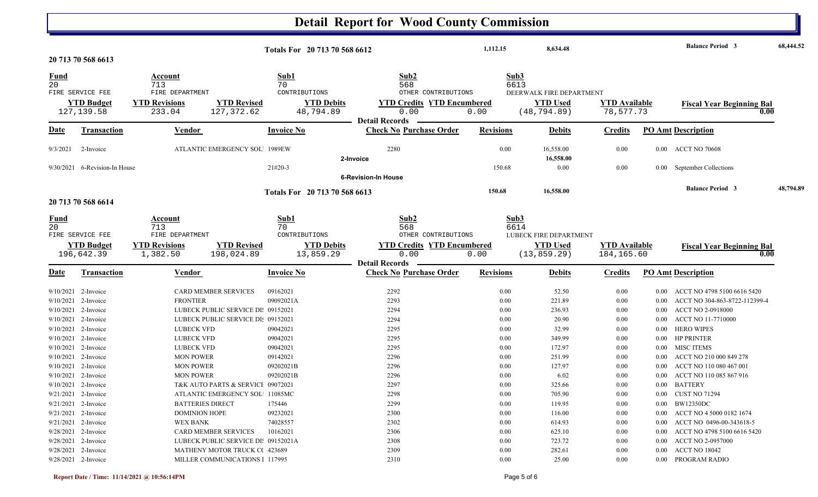## **Detail Report for Wood County Commission**

|                       |                                            |                                                                | Totals For 20 713 70 568 6612 |                                   | 1,112.15             | 8,634.48                 |                      |          | <b>Balance Period 3</b>                  | 68,444.52 |
|-----------------------|--------------------------------------------|----------------------------------------------------------------|-------------------------------|-----------------------------------|----------------------|--------------------------|----------------------|----------|------------------------------------------|-----------|
|                       | 20 713 70 568 6613                         |                                                                |                               |                                   |                      |                          |                      |          |                                          |           |
| <b>Fund</b>           |                                            | Account                                                        | Sub1                          | Sub2                              | Sub3                 |                          |                      |          |                                          |           |
| 20                    |                                            | 713                                                            | 70                            | 568                               | 6613                 |                          |                      |          |                                          |           |
|                       | FIRE SERVICE FEE                           | FIRE DEPARTMENT                                                | CONTRIBUTIONS                 | OTHER CONTRIBUTIONS               |                      | DEERWALK FIRE DEPARTMENT |                      |          |                                          |           |
|                       | <b>YTD Budget</b>                          | <b>YTD Revisions</b><br><b>YTD Revised</b>                     | <b>YTD Debits</b>             | <b>YTD Credits YTD Encumbered</b> |                      | <b>YTD</b> Used          | <b>YTD</b> Available |          | <b>Fiscal Year Beginning Bal</b>         |           |
|                       | 127, 139.58                                | 127,372.62<br>233.04                                           | 48,794.89                     | 0.00<br><b>Detail Records</b>     | 0.00                 | (48, 794.89)             | 78,577.73            |          | 0.00                                     |           |
| <b>Date</b>           | <b>Transaction</b>                         | Vendor                                                         | <b>Invoice No</b>             | <b>Check No Purchase Order</b>    | <b>Revisions</b>     | <b>Debits</b>            | <b>Credits</b>       |          | <b>PO Amt Description</b>                |           |
|                       |                                            |                                                                |                               |                                   |                      |                          |                      |          |                                          |           |
| 9/3/2021              | 2-Invoice                                  | <b>ATLANTIC EMERGENCY SOL 1989EW</b>                           |                               | 2280                              | 0.00                 | 16,558.00                | 0.00                 |          | 0.00 ACCT NO 70608                       |           |
|                       |                                            |                                                                |                               | 2-Invoice                         |                      | 16,558.00                |                      |          |                                          |           |
|                       | 9/30/2021 6-Revision-In House              |                                                                | $21#20-3$                     |                                   | 150.68               | 0.00                     | 0.00                 | $0.00\,$ | September Collections                    |           |
|                       |                                            |                                                                |                               | <b>6-Revision-In House</b>        |                      |                          |                      |          |                                          |           |
|                       |                                            |                                                                | Totals For 20 713 70 568 6613 |                                   | 150.68               | 16,558.00                |                      |          | <b>Balance Period 3</b>                  | 48,794.89 |
|                       | 20 713 70 568 6614                         |                                                                |                               |                                   |                      |                          |                      |          |                                          |           |
|                       |                                            |                                                                |                               |                                   |                      |                          |                      |          |                                          |           |
| <u>Fund</u>           |                                            | Account                                                        | Sub1                          | Sub2                              | Sub3                 |                          |                      |          |                                          |           |
| 20                    |                                            | 713                                                            | 70                            | 568                               | 6614                 |                          |                      |          |                                          |           |
|                       | FIRE SERVICE FEE                           | FIRE DEPARTMENT                                                | CONTRIBUTIONS                 | OTHER CONTRIBUTIONS               |                      | LUBECK FIRE DEPARTMENT   |                      |          |                                          |           |
|                       | <b>YTD Budget</b>                          | <b>YTD Revisions</b><br><b>YTD Revised</b>                     | <b>YTD Debits</b>             | <b>YTD Credits YTD Encumbered</b> |                      | <b>YTD</b> Used          | <b>YTD Available</b> |          | <b>Fiscal Year Beginning Bal</b>         |           |
|                       | 196,642.39                                 | 1,382.50<br>198,024.89                                         | 13,859.29                     | 0.00<br><b>Detail Records</b>     | 0.00                 | (13, 859.29)             | 184,165.60           |          | 0.00                                     |           |
| <b>Date</b>           | <b>Transaction</b>                         | <b>Vendor</b>                                                  | <b>Invoice No</b>             | <b>Check No Purchase Order</b>    | <b>Revisions</b>     | <b>Debits</b>            | <b>Credits</b>       |          | <b>PO Amt Description</b>                |           |
|                       |                                            |                                                                |                               |                                   |                      |                          |                      |          |                                          |           |
|                       | $9/10/2021$ 2-Invoice                      | <b>CARD MEMBER SERVICES</b>                                    | 09162021                      | 2292                              | 0.00                 | 52.50                    | 0.00                 | $0.00\,$ | ACCT NO 4798 5100 6616 5420              |           |
|                       | $9/10/2021$ 2-Invoice                      | <b>FRONTIER</b>                                                | 09092021A                     | 2293                              | 0.00                 | 221.89                   | 0.00                 | 0.00     | ACCT NO 304-863-8722-112399-4            |           |
|                       | $9/10/2021$ 2-Invoice                      | LUBECK PUBLIC SERVICE DI: 09152021                             |                               | 2294                              | 0.00                 | 236.93                   | 0.00                 | 0.00     | <b>ACCT NO 2-0918000</b>                 |           |
|                       | 9/10/2021 2-Invoice                        | LUBECK PUBLIC SERVICE DI: 09152021                             |                               | 2294                              | 0.00                 | 20.90                    | 0.00                 | $0.00\,$ | ACCT NO 11-7710000                       |           |
|                       | 9/10/2021 2-Invoice                        | <b>LUBECK VFD</b>                                              | 09042021                      | 2295                              | 0.00                 | 32.99                    | 0.00                 | $0.00\,$ | <b>HERO WIPES</b>                        |           |
|                       | 9/10/2021 2-Invoice                        | <b>LUBECK VFD</b>                                              | 09042021                      | 2295                              | 0.00                 | 349.99                   | 0.00                 | $0.00\,$ | <b>HP PRINTER</b>                        |           |
|                       | $9/10/2021$ 2-Invoice                      | <b>LUBECK VFD</b>                                              | 09042021                      | 2295                              | 0.00                 | 172.97                   | 0.00                 | $0.00\,$ | MISC ITEMS                               |           |
|                       | 9/10/2021 2-Invoice                        | <b>MON POWER</b>                                               | 09142021                      | 2296                              | 0.00                 | 251.99                   | 0.00                 | 0.00     | ACCT NO 210 000 849 278                  |           |
|                       | 9/10/2021 2-Invoice                        | <b>MON POWER</b>                                               | 09202021B                     | 2296                              | 0.00                 | 127.97                   | 0.00                 | 0.00     | ACCT NO 110 080 467 001                  |           |
|                       | $9/10/2021$ 2-Invoice                      | <b>MON POWER</b>                                               | 09202021B                     | 2296                              | 0.00                 | 6.02                     | 0.00                 | 0.00     | ACCT NO 110 085 867 916                  |           |
|                       | 9/10/2021 2-Invoice                        | T&K AUTO PARTS & SERVICI 09072021                              |                               | 2297                              | 0.00                 | 325.66                   | 0.00                 | $0.00\,$ | <b>BATTERY</b>                           |           |
|                       | $9/21/2021$ 2-Invoice                      | ATLANTIC EMERGENCY SOL 11085MC                                 |                               | 2298                              | 0.00                 | 705.90                   | 0.00                 |          | 0.00 CUST NO 71294                       |           |
|                       | 9/21/2021 2-Invoice                        | <b>BATTERIES DIRECT</b>                                        | 175446                        | 2299                              | $0.00\,$             | 119.95                   | 0.00                 |          | 0.00 BW12350DC                           |           |
|                       | $9/21/2021$ 2-Invoice                      | <b>DOMINION HOPE</b>                                           | 09232021                      | 2300                              | 0.00                 | 116.00                   | $0.00\,$             |          | 0.00 ACCT NO 4 5000 0182 1674            |           |
|                       | 9/21/2021 2-Invoice                        | WEX BANK                                                       | 74028557                      | 2302                              | 0.00                 | 614.93                   | 0.00                 |          | 0.00 ACCT NO 0496-00-343618-5            |           |
| $9/28/2021$ 2-Invoice |                                            |                                                                |                               |                                   |                      |                          |                      |          |                                          |           |
|                       |                                            | CARD MEMBER SERVICES                                           | 10162021                      | 2306                              | $0.00\,$             | 625.10                   | 0.00                 |          | 0.00 ACCT NO 4798 5100 6616 5420         |           |
|                       | $9/28/2021$ 2-Invoice                      | LUBECK PUBLIC SERVICE DI: 09152021A                            |                               | 2308                              | $0.00\,$             | 723.72                   | 0.00                 |          | 0.00 ACCT NO 2-0957000                   |           |
|                       | 9/28/2021 2-Invoice<br>9/28/2021 2-Invoice | MATHENY MOTOR TRUCK C(423689<br>MILLER COMMUNICATIONS 1 117995 |                               | 2309<br>2310                      | $0.00\,$<br>$0.00\,$ | 282.61<br>25.00          | 0.00<br>0.00         |          | 0.00 ACCT NO 18042<br>0.00 PROGRAM RADIO |           |